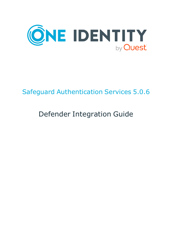

# Safeguard Authentication Services 5.0.6

# Defender Integration Guide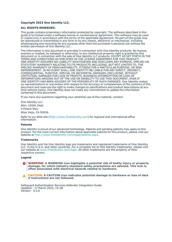#### **Copyright 2022 One Identity LLC.**

#### **ALL RIGHTS RESERVED.**

This guide contains proprietary information protected by copyright. The software described in this guide is furnished under a software license or nondisclosure agreement. This software may be used or copied only in accordance with the terms of the applicable agreement. No part of this guide may be reproduced or transmitted in any form or by any means, electronic or mechanical, including photocopying and recording for any purpose other than the purchaser's personal use without the written permission of One Identity LLC .

The information in this document is provided in connection with One Identity products. No license, express or implied, by estoppel or otherwise, to any intellectual property right is granted by this document or in connection with the sale of One Identity LLC products. EXCEPT AS SET FORTH IN THE TERMS AND CONDITIONS AS SPECIFIED IN THE LICENSE AGREEMENT FOR THIS PRODUCT, ONE IDENTITY ASSUMES NO LIABILITY WHATSOEVER AND DISCLAIMS ANY EXPRESS, IMPLIED OR STATUTORY WARRANTY RELATING TO ITS PRODUCTS INCLUDING, BUT NOT LIMITED TO, THE IMPLIED WARRANTY OF MERCHANTABILITY, FITNESS FOR A PARTICULAR PURPOSE, OR NON-INFRINGEMENT. IN NO EVENT SHALL ONE IDENTITY BE LIABLE FOR ANY DIRECT, INDIRECT, CONSEQUENTIAL, PUNITIVE, SPECIAL OR INCIDENTAL DAMAGES (INCLUDING, WITHOUT LIMITATION, DAMAGES FOR LOSS OF PROFITS, BUSINESS INTERRUPTION OR LOSS OF INFORMATION) ARISING OUT OF THE USE OR INABILITY TO USE THIS DOCUMENT, EVEN IF ONE IDENTITY HAS BEEN ADVISED OF THE POSSIBILITY OF SUCH DAMAGES. One Identity makes no representations or warranties with respect to the accuracy or completeness of the contents of this document and reserves the right to make changes to specifications and product descriptions at any time without notice. One Identity does not make any commitment to update the information contained in this document.

If you have any questions regarding your potential use of this material, contact:

One Identity LLC. Attn: LEGAL Dept 4 Polaris Way Aliso Viejo, CA 92656

Refer to our Web site [\(http://www.OneIdentity.com](http://www.oneidentity.com/)) for regional and international office information.

#### **Patents**

One Identity is proud of our advanced technology. Patents and pending patents may apply to this product. For the most current information about applicable patents for this product, please visit our website at [http://www.OneIdentity.com/legal/patents.aspx.](http://www.oneidentity.com/legal/patents.aspx)

#### **Trademarks**

One Identity and the One Identity logo are trademarks and registered trademarks of One Identity LLC. in the U.S.A. and other countries. For a complete list of One Identity trademarks, please visit our website at [www.OneIdentity.com/legal](http://www.oneidentity.com/legal). All other trademarks are the property of their respective owners.

#### **Legend**

**WARNING: A WARNING icon highlights a potential risk of bodily injury or property** œ **damage, for which industry-standard safety precautions are advised. This icon is often associated with electrical hazards related to hardware.**

**CAUTION: A CAUTION icon indicates potential damage to hardware or loss of data if instructions are not followed.**

Safeguard Authentication Services Defender Integration Guide Updated - 17 March 2022, 15:58 Version - 5.0.6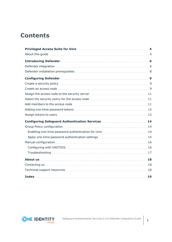## **Contents**

| <b>Introducing Defender Manual Community Constraint Community Community Community Community Community Community Community Community Community Community Community Community Community Community Community Community Community Co</b> |    |
|--------------------------------------------------------------------------------------------------------------------------------------------------------------------------------------------------------------------------------------|----|
|                                                                                                                                                                                                                                      |    |
|                                                                                                                                                                                                                                      |    |
|                                                                                                                                                                                                                                      |    |
| Create a security policy manufactured and the second security policy manufactured as security policy manufactured as $9$                                                                                                             |    |
|                                                                                                                                                                                                                                      |    |
|                                                                                                                                                                                                                                      |    |
|                                                                                                                                                                                                                                      |    |
|                                                                                                                                                                                                                                      |    |
|                                                                                                                                                                                                                                      |    |
|                                                                                                                                                                                                                                      |    |
|                                                                                                                                                                                                                                      |    |
|                                                                                                                                                                                                                                      |    |
|                                                                                                                                                                                                                                      |    |
|                                                                                                                                                                                                                                      |    |
|                                                                                                                                                                                                                                      |    |
|                                                                                                                                                                                                                                      |    |
|                                                                                                                                                                                                                                      |    |
|                                                                                                                                                                                                                                      |    |
|                                                                                                                                                                                                                                      |    |
|                                                                                                                                                                                                                                      |    |
|                                                                                                                                                                                                                                      | 19 |

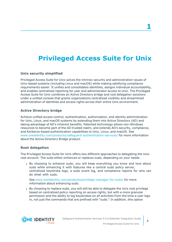# <span id="page-3-0"></span>**Privileged Access Suite for Unix**

#### **Unix security simplified**

Privileged Access Suite for Unix solves the intrinsic security and administration issues of Unix-based systems (including Linux and macOS) while making satisfying compliance requirements easier. It unifies and consolidates identities, assigns individual accountability, and enables centralized reporting for user and administrator access to Unix. The Privileged Access Suite for Unix combines an Active Directory bridge and root delegation solutions under a unified console that grants organizations centralized visibility and streamlined administration of identities and access rights across their entire Unix environment.

#### **Active Directory bridge**

Achieve unified access control, authentication, authorization, and identity administration for Unix, Linux, and macOS systems by extending them into Active Directory (AD) and taking advantage of AD's inherent benefits. Patented technology allows non-Windows resources to become part of the AD trusted realm, and extends AD's security, compliance, and Kerberos-based authentication capabilities to Unix, Linux, and macOS. See [www.oneidentity.com/products/safeguard-authentication-services/](https://www.oneidentity.com/products/safeguard-authentication-services/) for more information about the Active Directory Bridge product.

#### **Root delegation**

The Privileged Access Suite for Unix offers two different approaches to delegating the Unix root account. The suite either *enhances* or *replaces* sudo, depending on your needs.

• By choosing to enhance sudo, you will keep everything you know and love about sudo while enhancing it with features like a central sudo policy server, centralized keystroke logs, a sudo event log, and compliance reports for who can do what with sudo.

See [www.oneidentity.com/products/privilege-manager-for-sudo/](https://www.oneidentity.com/products/privilege-manager-for-sudo/) for more information about enhancing sudo.

• By choosing to replace sudo, you will still be able to delegate the Unix root privilege based on centralized policy reporting on access rights, but with a more granular permission and the ability to log keystrokes on all activities from the time a user logs in, not just the commands that are prefixed with "sudo." In addition, this option

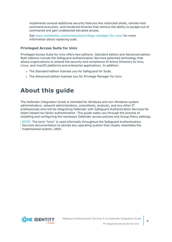implements several additional security features like restricted shells, remote host command execution, and hardened binaries that remove the ability to escape out of commands and gain undetected elevated access.

See [www.oneidentity.com/products/privilege-manager-for-unix/](https://www.oneidentity.com/products/privilege-manager-for-unix/) for more information about replacing sudo.

#### **Privileged Access Suite for Unix**

Privileged Access Suite for Unix offers two editions: *Standard* edition and *Advanced* edition. Both editions include the Safeguard Authentication Services patented technology that allows organizations to extend the security and compliance of Active Directory to Unix, Linux, and macOS platforms and enterprise applications. In addition:

- **.** The *Standard* edition licenses you for Safeguard for Sudo.
- **.** The *Advanced* edition licenses you for Privilege Manager for Unix.

## <span id="page-4-0"></span>**About this guide**

The *Defender Integration Guide* is intended for Windows and non-Windows system administrators, network administrators, consultants, analysts, and any other IT professionals who will be integrating Defender with Safeguard Authentication Services for token-based two factor authentication. This guide walks you through the process of installing and configuring the necessary Defender access policies and Group Policy settings.

NOTE: The term "Unix" is used informally throughout the Safeguard Authentication Services documentation to denote any operating system that closely resembles the trademarked system, UNIX.

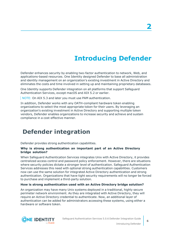# **Introducing Defender**

<span id="page-5-0"></span>Defender enhances security by enabling two-factor authentication to network, Web, and applications-based resources. One Identity designed Defender to base all administration and identity management on an organization's existing investment in Active Directory and eliminates the costs and time involved in setting up and maintaining proprietary databases.

One Identity supports Defender integration on all platforms that support Safeguard Authentication Services, except macOS and AIX 5.2 or earlier.

NOTE: On AIX 5.3 and later you must use PAM authentication.

In addition, Defender works with any OATH-compliant hardware token enabling organizations to select the most appropriate token for their users. By leveraging an organization's existing investment in Active Directory and supporting multiple token vendors, Defender enables organizations to increase security and achieve and sustain compliance in a cost-effective manner.

### <span id="page-5-1"></span>**Defender integration**

Defender provides strong authentication capabilities.

#### **Why is strong authentication an important part of an Active Directory bridge solution?**

When Safeguard Authentication Services integrates Unix with Active Directory, it provides centralized access control and password policy enforcement. However, there are situations where security policies dictate a stronger level of authentication. Safeguard Authentication Services addresses this need with optional strong authentication capabilities. Customers now can use the same solution for integrated Active Directory authentication and strong authentication. Organizations that have tight security requirements will no longer be forced to purchase and implement a third-party solution.

#### **How is strong authentication used with an Active Directory bridge solution?**

An organization may have many Unix systems deployed in a traditional, highly secure perimeter network environment. As they are integrated with Active Directory, they will require an Active Directory credential to authenticate. Now, an additional layer of authentication can be added for administrators accessing these systems, using either a hardware or software token.



**6**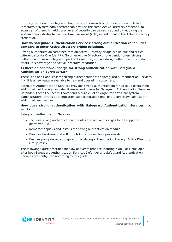If an organization has integrated hundreds or thousands of Unix systems with Active Directory, a system administrator can now use the same Active Directory credential to access all of them. An additional level of security can be easily added by requiring the system administrator to use one-time password (OTP) in additional to the Active Directory credential.

#### **How do Safeguard Authentication Services' strong authentication capabilities compare to other Active Directory bridge solutions?**

Strong authentication combined with an Active Directory bridge is a unique and critical differentiator for One Identity. No other Active Directory bridge vendor offers strong authentication as an integrated part of its solution, and no strong authentication vendor offers Unix coverage and Active Directory integration.

#### **Is there an additional charge for strong authentication with Safeguard Authentication Services 4.x?**

There is no additional cost for strong authentication with Safeguard Authentication Services 4.x; it is a new feature available to new and upgrading customers.

Safeguard Authentication Services provides strong authentication for up to 25 users at no additional cost through included licenses and tokens for Safeguard Authentication Services Defender. These licenses will cover and secure 25 of an organization's Unix system administrators. Strong authentication support for additional end-users is available at an additional per-user cost.

#### **How does strong authentication with Safeguard Authentication Services 4.x work?**

Safeguard Authentication Services:

- Includes strong authentication modules and native packages for all supported platforms (100+).
- Remotely deploys and installs the strong authentication module.
- Provides hardware and software tokens for one-time passwords.
- Enables policy-based configuration of strong authentication through Active Directory Group Policy.

The following figure describes the flow of events that occur during a Unix or Linux login after both Safeguard Authentication Services Defender and Safeguard Authentication Services are configured according to this guide.

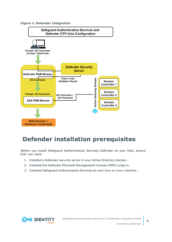#### **Figure 1: Defender Integration**



## <span id="page-7-0"></span>**Defender installation prerequisites**

Before you install Safeguard Authentication Services Defender on your host, ensure that you have:

- 1. Installed a Defender security server in your Active Directory domain.
- 2. Installed the Defender Microsoft Management Console (MMC) snap-in.
- 3. Installed Safeguard Authentication Services on your Unix or Linux machine.

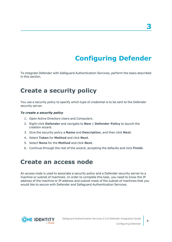# **Configuring Defender**

<span id="page-8-0"></span>To integrate Defender with Safeguard Authentication Services, perform the tasks described in this section.

### <span id="page-8-1"></span>**Create a security policy**

You use a security policy to specify which type of credential is to be sent to the Defender security server.

#### *To create a security policy*

- 1. Open Active Directory Users and Computers.
- 2. Right-click **Defender** and navigate to **New | Defender Policy** to launch the creation wizard.
- 3. Give the security policy a **Name** and **Description**, and then click **Next**.
- 4. Select **Token** for **Method** and click **Next**.
- 5. Select **None** for the **Method** and click **Next**.
- <span id="page-8-2"></span>6. Continue through the rest of the wizard, accepting the defaults and click **Finish**.

### **Create an access node**

An access node is used to associate a security policy and a Defender security server to a machine or subnet of machines. In order to complete this task, you need to know the IP address of the machine or IP address and subnet mask of the subnet of machines that you would like to secure with Defender and Safeguard Authentication Services.

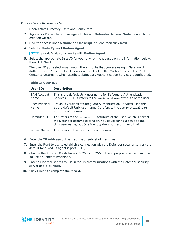#### *To create an Access node*

- 1. Open Active Directory Users and Computers.
- 2. Right-click **Defender** and navigate to **New | Defender Access Node** to launch the creation wizard.
- 3. Give the access node a **Name** and **Description**, and then click **Next**.
- 4. Select a **Node Type** of **Radius Agent**.

NOTE: pam\_defender only works with **Radius Agent**.

5. Select the appropriate *User ID* for your environment based on the information below, then click **Next**.

The User ID you select must match the attribute that you are using in Safeguard Authentication Services for Unix user name. Look in the **Preferences** of the Control Center to determine which attribute Safeguard Authentication Services is configured.

| <b>User IDs</b>            | <b>Description</b>                                                                                                                                                                                    |
|----------------------------|-------------------------------------------------------------------------------------------------------------------------------------------------------------------------------------------------------|
| <b>SAM Account</b><br>Name | This is the default Unix user name for Safeguard Authentication<br>Services 5.0.1. It refers to the sAMAccountName attribute of the user.                                                             |
| User Principal<br>Name     | Previous versions of Safeguard Authentication Services used this<br>as the default Unix user name. It refers to the userPrincipalName<br>attribute of the user.                                       |
| Defender ID                | This refers to the defender-id attribute of the user, which is part of<br>the Defender schema extension. You could configure this as the<br>Unix user name, but One Identity does not recommend that. |
| <b>Proper Name</b>         | This refers to the cn attribute of the user.                                                                                                                                                          |

#### **Table 1: User IDs**

- 6. Enter the **IP Address** of the machine or subnet of machines.
- 7. Enter the **Port** to use to establish a connection with the Defender security server (the default for a Radius Agent is port 1812).
- 8. Change the **Subnet Mask** from 255.255.255.255 to the appropriate value if you plan to use a subnet of machines.
- 9. Enter a **Shared Secret** to use in radius communications with the Defender security server and click **Next**.
- 10. Click **Finish** to complete the wizard.

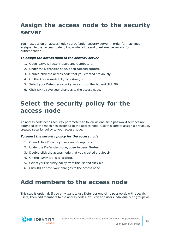## <span id="page-10-0"></span>**Assign the access node to the security server**

You must assign an access node to a Defender security server in order for machines assigned to that access node to know where to send one-time passwords for authentication.

#### *To assign the access node to the security server*

- 1. Open Active Directory Users and Computers.
- 2. Under the **Defender** node, open **Access Nodes**.
- 3. Double-click the access node that you created previously.
- 4. On the *Access Node* tab, click **Assign**.
- 5. Select your Defender security server from the list and click **OK**.
- <span id="page-10-1"></span>6. Click **OK** to save your changes to the access node.

## **Select the security policy for the access node**

An access node needs security parameters to follow as one-time password services are extended to the machines assigned to the access node. Use this step to assign a previously created security policy to your access node.

#### *To select the security policy for the access node*

- 1. Open Active Directory Users and Computers.
- 2. Under the **Defender** node, open **Access Nodes**.
- 3. Double-click the access node that you created previously.
- 4. On the *Policy* tab, click **Select**.
- 5. Select your security policy from the list and click **OK**.
- <span id="page-10-2"></span>6. Click **OK** to save your changes to the access node.

## **Add members to the access node**

This step is optional. If you only want to use Defender one-time passwords with specific users, then add members to the access nodes. You can add users individually or groups as

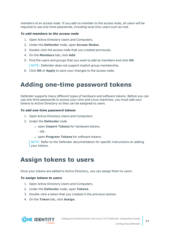members of an access node. If you add no member to the access node, all users will be required to use one-time passwords, including local Unix users such as root.

#### *To add members to the access node*

- 1. Open Active Directory Users and Computers.
- 2. Under the **Defender** node, open **Access Nodes**.
- 3. Double-click the access node that you created previously.
- 4. On the **Members** tab, click **Add**.
- 5. Find the users and groups that you want to add as members and click **OK**. NOTE: Defender does not support implicit group membership.
- <span id="page-11-0"></span>6. Click **OK** or **Apply** to save your changes to the access node.

## **Adding one-time password tokens**

Defender supports many different types of hardware and software tokens. Before you can use one-time passwords to access your Unix and Linux machines, you must add your tokens to Active Directory so they can be assigned to users.

#### *To add one-time password tokens*

- 1. Open Active Directory Users and Computers.
- 2. Under the **Defender** node
	- **.** open Import Tokens for hardware tokens.
		- $OR -$
	- **.** open **Program Tokens** for software tokens.

NOTE: Refer to the Defender documentation for specific instructions on adding your tokens.

### <span id="page-11-1"></span>**Assign tokens to users**

Once your tokens are added to Active Directory, you can assign them to users.

#### *To assign tokens to users*

- 1. Open Active Directory Users and Computers.
- 2. Under the **Defender** node, open **Tokens**.
- 3. Double-click a token that you created in the previous section.
- 4. On the **Token** tab, click **Assign**.

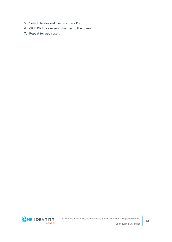- 5. Select the desired user and click **OK**.
- 6. Click **OK** to save your changes to the token.
- 7. Repeat for each user.

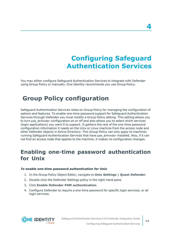# **Configuring Safeguard Authentication Services**

<span id="page-13-0"></span>You may either configure Safeguard Authentication Services to integrate with Defender using Group Policy or manually. One Identity recommends you use Group Policy.

### <span id="page-13-1"></span>**Group Policy configuration**

Safeguard Authentication Services relies on Group Policy for managing the configuration of options and features. To enable one-time password support for Safeguard Authentication Services through Defender you must modify a Group Policy setting. This setting allows you to turn pam defender configuration on or off and also allows you to select which services (login applications) you want it to support. It gathers the rest of the one-time password configuration information it needs on the Unix or Linux machine from the access node and other Defender objects in Active Directory. This Group Policy can only apply to machines running Safeguard Authentication Services that have pam defender installed. Also, if it can not find an access node that applies to the machine, it makes no configuration changes.

### <span id="page-13-2"></span>**Enabling one-time password authentication for Unix**

#### *To enable one-time password authentication for Unix*

- 1. In the Group Policy Object Editor, navigate to **Unix Settings | Quest Defender**.
- 2. Double-click the Defender Settings policy in the right-hand pane.
- 3. Click **Enable Defender PAM authentication**.
- 4. Configure Defender to require a one-time password for specific login services, or all login services.



**4**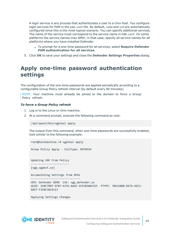A login service is any process that authenticates a user to a Unix host. You configure login services for PAM in the pam.conf file. By default, sshd and ssh are automatically configured since this is the most typical scenario. You can specify additional services. The name of the service must correspond to the service name in PAM.conf. On some platforms the service names may differ, in that case, specify all service names for all platforms where you have installed Defender.

- <sup>l</sup> To prompt for a one-time password for all services, select **Require Defender PAM authentication for all services**.
- <span id="page-14-0"></span>5. Click **OK** to save your settings and close the **Defender Settings Properties** dialog.

### **Apply one-time password authentication settings**

The configuration of the one-time passwords are applied periodically according to a configurable Group Policy refresh interval (by default every 90 minutes).

NOTE: Your machine must already be joined to the domain to force a Group Policy refresh.

#### *To force a Group Policy refresh*

- 1. Log in to the Linux or Unix machine.
- 2. At a command prompt, execute the following command as root:

/opt/quest/bin/vgptool apply

The output from this command, when one-time passwords are successfully enabled, look similar to the following example:

root@testmachine:~# vgptool apply

Group Policy Apply - CallType: REFRESH

Updating VGP From Policy ------------------------ [vgp\_vgpext.so]

Accumulating Settings from GPOs -------------------------------

GPO: Defender DEMO CSE: vgp\_defender.so GUID: 1EBC7D87-EFB7-4376-AA1E-3CE5850AC5E5 PTYPE: 786318DB-DE76-42F2- 8A57-F1E0C3ACE113

Applying Settings Changes

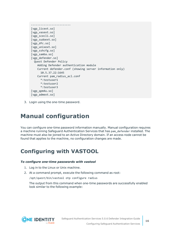```
-------------------------
[vgp_licext.so]
[vgp_vasext.so]
[vgp_scecli.so]
[vgp_sudoext.so]
[vgp dfc.so]
[vgp_unixext.so]
[vgp sshcfg.so]
[vgp_samba.so]
[vgp defender.so]
 Quest Defender Policy
    Adding Defender authentication module
    Current defender.conf (showing server information only)
      10.5.37.22:1645
   Current pam radius acl.conf
      *:testuser1
      *:testuser2
      *:testuser3
[vgp_qpm4u.so]
[vgp_admext.so]
```
<span id="page-15-0"></span>3. Login using the one-time password.

## **Manual configuration**

You can configure one-time password information manually. Manual configuration requires a machine running Safeguard Authentication Services that has pam\_defender installed. The machine must also be joined to an Active Directory domain. If an access node cannot be found that applies to the machine, no configuration changes are made.

## <span id="page-15-1"></span>**Configuring with VASTOOL**

#### *To configure one-time passwords with vastool*

- 1. Log in to the Linux or Unix machine.
- 2. At a command prompt, execute the following command as root:

/opt/quest/bin/vastool otp configure radius

The output from this command when one-time passwords are successfully enabled look similar to the following example:

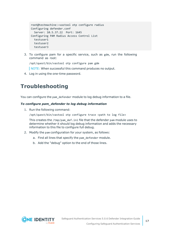```
root@testmachine:~vastool otp configure radius
Configuring defender.conf
  Server: 10.5.37.22 Port: 1645
Configuring PAM Radius Access Control List
 testuser1
  testuser2
  testuser3
```
3. To configure pam for a specific service, such as gdm, run the following command as root:

/opt/quest/bin/vastool otp configure pam gdm

NOTE: When successful this command produces no output.

<span id="page-16-0"></span>4. Log in using the one-time password.

### **Troubleshooting**

You can configure the pam defender module to log debug information to a file.

#### *To configure pam\_defender to log debug information*

1. Run the following command:

/opt/quest/bin/vastool otp configure trace <path to log file>

This creates the /tmp/pam\_def.ini file that the defender pam module uses to determine whether it should log debug information and adds the necessary information to this file to configure full debug.

- 2. Modify the pam configuration for your system, as follows:
	- a. Find all lines that specify the pam defender module.
	- b. Add the "debug" option to the end of those lines.

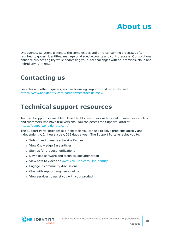<span id="page-17-0"></span>One Identity solutions eliminate the complexities and time-consuming processes often required to govern identities, manage privileged accounts and control access. Our solutions enhance business agility while addressing your IAM challenges with on-premises, cloud and hybrid environments.

## <span id="page-17-1"></span>**Contacting us**

For sales and other inquiries, such as licensing, support, and renewals, visit [https://www.oneidentity.com/company/contact-us.aspx.](https://www.oneidentity.com/company/contact-us.aspx)

## <span id="page-17-2"></span>**Technical support resources**

Technical support is available to One Identity customers with a valid maintenance contract and customers who have trial versions. You can access the Support Portal at [https://support.oneidentity.com/.](https://support.oneidentity.com/)

The Support Portal provides self-help tools you can use to solve problems quickly and independently, 24 hours a day, 365 days a year. The Support Portal enables you to:

- Submit and manage a Service Request
- View Knowledge Base articles
- Sign up for product notifications
- Download software and technical documentation
- View how-to videos at [www.YouTube.com/OneIdentity](http://www.youtube.com/OneIdentity)
- Engage in community discussions
- Chat with support engineers online
- View services to assist you with your product